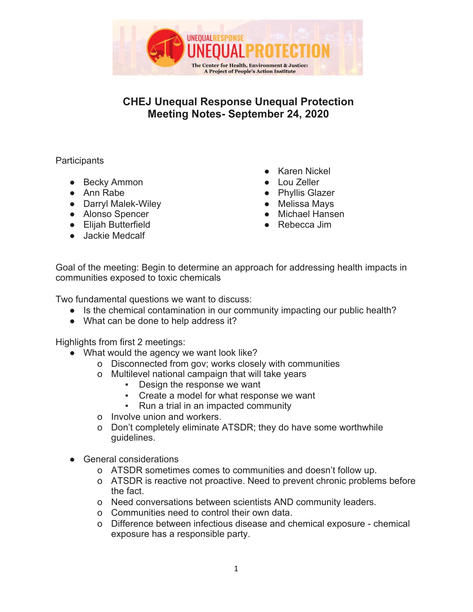

## **CHEJ Unequal Response Unequal Protection Meeting Notes- September 24, 2020**

## **Participants**

- Becky Ammon
- Ann Rabe
- Darryl Malek-Wiley
- Alonso Spencer
- Elijah Butterfield
- Jackie Medcalf
- Karen Nickel
- Lou Zeller
- Phyllis Glazer
- **Melissa Mays**
- Michael Hansen
- Rebecca Jim

Goal of the meeting: Begin to determine an approach for addressing health impacts in communities exposed to toxic chemicals

Two fundamental questions we want to discuss:

- Is the chemical contamination in our community impacting our public health?
- What can be done to help address it?

Highlights from first 2 meetings:

- What would the agency we want look like?
	- o Disconnected from gov; works closely with communities
	- o Multilevel national campaign that will take years
		- Design the response we want
		- Create a model for what response we want
		- Run a trial in an impacted community
	- o Involve union and workers.
	- o Don't completely eliminate ATSDR; they do have some worthwhile guidelines.
- **General considerations** 
	- o ATSDR sometimes comes to communities and doesn't follow up.
	- o ATSDR is reactive not proactive. Need to prevent chronic problems before the fact.
	- o Need conversations between scientists AND community leaders.
	- o Communities need to control their own data.
	- o Difference between infectious disease and chemical exposure chemical exposure has a responsible party.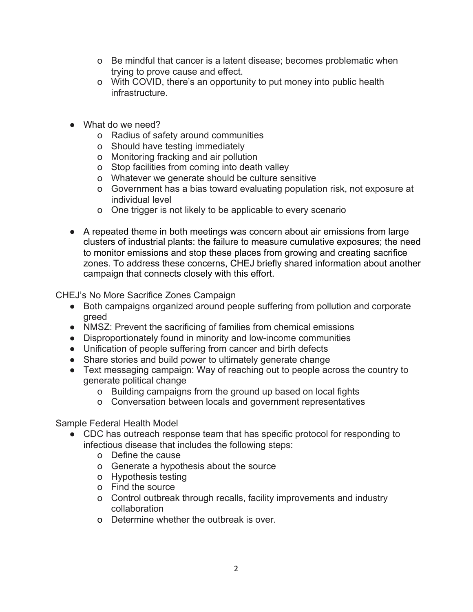- o Be mindful that cancer is a latent disease; becomes problematic when trying to prove cause and effect.
- o With COVID, there's an opportunity to put money into public health infrastructure.
- What do we need?
	- o Radius of safety around communities
	- o Should have testing immediately
	- o Monitoring fracking and air pollution
	- o Stop facilities from coming into death valley
	- o Whatever we generate should be culture sensitive
	- o Government has a bias toward evaluating population risk, not exposure at individual level
	- o One trigger is not likely to be applicable to every scenario
- A repeated theme in both meetings was concern about air emissions from large clusters of industrial plants: the failure to measure cumulative exposures; the need to monitor emissions and stop these places from growing and creating sacrifice zones. To address these concerns, CHEJ briefly shared information about another campaign that connects closely with this effort.

CHEJ's No More Sacrifice Zones Campaign

- Both campaigns organized around people suffering from pollution and corporate greed
- NMSZ: Prevent the sacrificing of families from chemical emissions
- Disproportionately found in minority and low-income communities
- Unification of people suffering from cancer and birth defects
- Share stories and build power to ultimately generate change
- Text messaging campaign: Way of reaching out to people across the country to generate political change
	- o Building campaigns from the ground up based on local fights
	- o Conversation between locals and government representatives

Sample Federal Health Model

- CDC has outreach response team that has specific protocol for responding to infectious disease that includes the following steps:
	- o Define the cause
	- o Generate a hypothesis about the source
	- o Hypothesis testing
	- o Find the source
	- o Control outbreak through recalls, facility improvements and industry collaboration
	- o Determine whether the outbreak is over.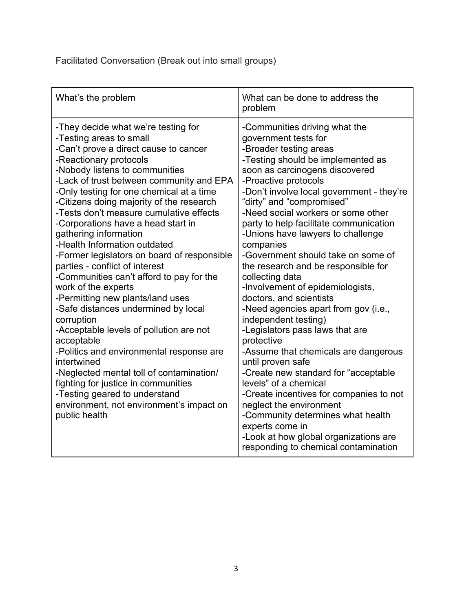Facilitated Conversation (Break out into small groups)

| What's the problem                                                                                                                                                                                                                                                                                                                                                                                                                                                                                                                                                                                                                                                                                                                                                                                                                                                                                                                                                                                  | What can be done to address the<br>problem                                                                                                                                                                                                                                                                                                                                                                                                                                                                                                                                                                                                                                                                                                                                                                                                                                                                                                                                                                              |
|-----------------------------------------------------------------------------------------------------------------------------------------------------------------------------------------------------------------------------------------------------------------------------------------------------------------------------------------------------------------------------------------------------------------------------------------------------------------------------------------------------------------------------------------------------------------------------------------------------------------------------------------------------------------------------------------------------------------------------------------------------------------------------------------------------------------------------------------------------------------------------------------------------------------------------------------------------------------------------------------------------|-------------------------------------------------------------------------------------------------------------------------------------------------------------------------------------------------------------------------------------------------------------------------------------------------------------------------------------------------------------------------------------------------------------------------------------------------------------------------------------------------------------------------------------------------------------------------------------------------------------------------------------------------------------------------------------------------------------------------------------------------------------------------------------------------------------------------------------------------------------------------------------------------------------------------------------------------------------------------------------------------------------------------|
| -They decide what we're testing for<br>-Testing areas to small<br>-Can't prove a direct cause to cancer<br>-Reactionary protocols<br>-Nobody listens to communities<br>-Lack of trust between community and EPA<br>-Only testing for one chemical at a time<br>-Citizens doing majority of the research<br>-Tests don't measure cumulative effects<br>-Corporations have a head start in<br>gathering information<br>-Health Information outdated<br>-Former legislators on board of responsible<br>parties - conflict of interest<br>-Communities can't afford to pay for the<br>work of the experts<br>-Permitting new plants/land uses<br>-Safe distances undermined by local<br>corruption<br>-Acceptable levels of pollution are not<br>acceptable<br>-Politics and environmental response are<br>intertwined<br>-Neglected mental toll of contamination/<br>fighting for justice in communities<br>-Testing geared to understand<br>environment, not environment's impact on<br>public health | -Communities driving what the<br>government tests for<br>-Broader testing areas<br>-Testing should be implemented as<br>soon as carcinogens discovered<br>-Proactive protocols<br>-Don't involve local government - they're<br>"dirty" and "compromised"<br>-Need social workers or some other<br>party to help facilitate communication<br>-Unions have lawyers to challenge<br>companies<br>-Government should take on some of<br>the research and be responsible for<br>collecting data<br>-Involvement of epidemiologists,<br>doctors, and scientists<br>-Need agencies apart from gov (i.e.,<br>independent testing)<br>-Legislators pass laws that are<br>protective<br>-Assume that chemicals are dangerous<br>until proven safe<br>-Create new standard for "acceptable<br>levels" of a chemical<br>-Create incentives for companies to not<br>neglect the environment<br>-Community determines what health<br>experts come in<br>-Look at how global organizations are<br>responding to chemical contamination |